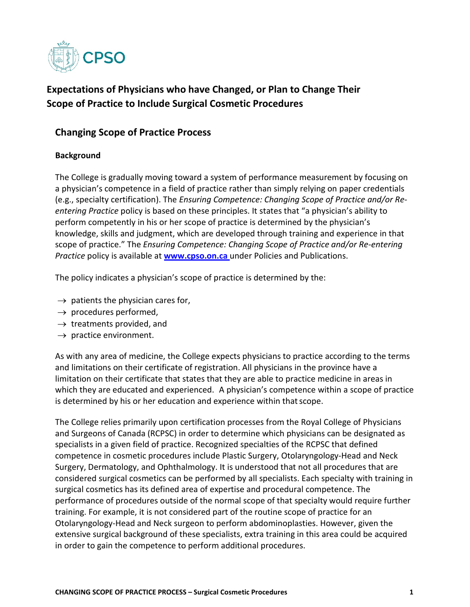

# **Expectations of Physicians who have Changed, or Plan to Change Their Scope of Practice to Include Surgical Cosmetic Procedures**

# **Changing Scope of Practice Process**

#### **Background**

The College is gradually moving toward a system of performance measurement by focusing on a physician's competence in a field of practice rather than simply relying on paper credentials (e.g., specialty certification). The *Ensuring Competence: Changing Scope of Practice and/or Reentering Practice* policy is based on these principles. It states that "a physician's ability to perform competently in his or her scope of practice is determined by the physician's knowledge, skills and judgment, which are developed through training and experience in that scope of practice." The *Ensuring Competence: Changing Scope of Practice and/or Re-entering Practice* policy is available at **[www.cpso.on.ca](http://www.cpso.on.ca/)** under Policies and Publications.

The policy indicates a physician's scope of practice is determined by the:

- $\rightarrow$  patients the physician cares for,
- $\rightarrow$  procedures performed,
- $\rightarrow$  treatments provided, and
- $\rightarrow$  practice environment.

As with any area of medicine, the College expects physicians to practice according to the terms and limitations on their certificate of registration. All physicians in the province have a limitation on their certificate that states that they are able to practice medicine in areas in which they are educated and experienced. A physician's competence within a scope of practice is determined by his or her education and experience within that scope.

The College relies primarily upon certification processes from the Royal College of Physicians and Surgeons of Canada (RCPSC) in order to determine which physicians can be designated as specialists in a given field of practice. Recognized specialties of the RCPSC that defined competence in cosmetic procedures include Plastic Surgery, Otolaryngology‐Head and Neck Surgery, Dermatology, and Ophthalmology. It is understood that not all procedures that are considered surgical cosmetics can be performed by all specialists. Each specialty with training in surgical cosmetics has its defined area of expertise and procedural competence. The performance of procedures outside of the normal scope of that specialty would require further training. For example, it is not considered part of the routine scope of practice for an Otolaryngology‐Head and Neck surgeon to perform abdominoplasties. However, given the extensive surgical background of these specialists, extra training in this area could be acquired in order to gain the competence to perform additional procedures.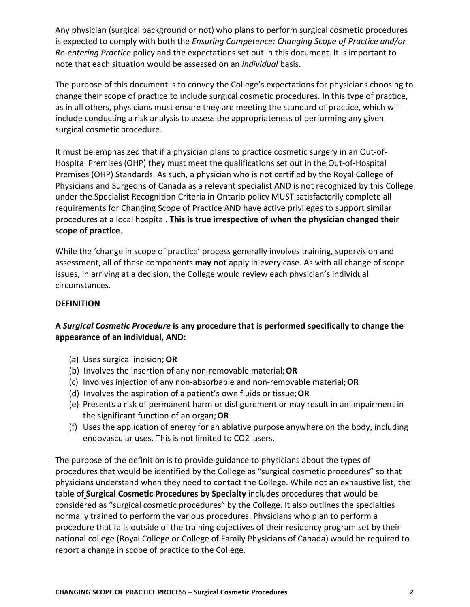Any physician (surgical background or not) who plans to perform surgical cosmetic procedures is expected to comply with both the *Ensuring Competence: Changing Scope of Practice and/or Re-entering Practice* policy and the expectations set out in this document. It is important to note that each situation would be assessed on an *individual* basis.

The purpose of this document is to convey the College's expectations for physicians choosing to change their scope of practice to include surgical cosmetic procedures. In this type of practice, as in all others, physicians must ensure they are meeting the standard of practice, which will include conducting a risk analysis to assess the appropriateness of performing any given surgical cosmetic procedure.

It must be emphasized that if a physician plans to practice cosmetic surgery in an Out‐of‐ Hospital Premises (OHP) they must meet the qualifications set out in the Out‐of‐Hospital Premises (OHP) Standards. As such, a physician who is not certified by the Royal College of Physicians and Surgeons of Canada as a relevant specialist AND is not recognized by this College under the Specialist Recognition Criteria in Ontario policy MUST satisfactorily complete all requirements for Changing Scope of Practice AND have active privileges to support similar procedures at a local hospital. **This is true irrespective of when the physician changed their scope of practice**.

While the 'change in scope of practice' process generally involves training, supervision and assessment, all of these components **may not** apply in every case. As with all change of scope issues, in arriving at a decision, the College would review each physician's individual circumstances.

#### **DEFINITION**

# **A** *Surgical Cosmetic Procedure* **is any procedure that is performed specifically to change the appearance of an individual, AND:**

- (a) Uses surgical incision; **OR**
- (b) Involves the insertion of any non‐removable material;**OR**
- (c) Involves injection of any non‐absorbable and non‐removable material;**OR**
- (d) Involves the aspiration of a patient's own fluids or tissue;**OR**
- (e) Presents a risk of permanent harm or disfigurement or may result in an impairment in the significant function of an organ;**OR**
- (f) Uses the application of energy for an ablative purpose anywhere on the body, including endovascular uses. This is not limited to CO2 lasers.

The purpose of the definition is to provide guidance to physicians about the types of procedures that would be identified by the College as "surgical cosmetic procedures" so that physicians understand when they need to contact the College. While not an exhaustive list, the table of **Surgical Cosmetic Procedures by Specialty** includes procedures that would be considered as "surgical cosmetic procedures" by the College. It also outlines the specialties normally trained to perform the various procedures. Physicians who plan to perform a procedure that falls outside of the training objectives of their residency program set by their national college (Royal College or College of Family Physicians of Canada) would be required to report a change in scope of practice to the College.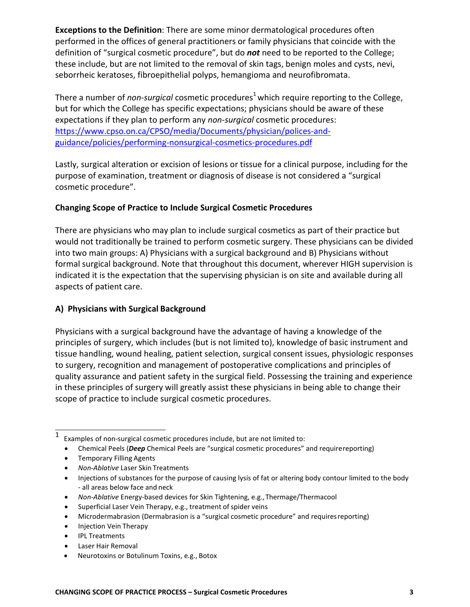**Exceptions to the Definition**: There are some minor dermatological procedures often performed in the offices of general practitioners or family physicians that coincide with the definition of "surgical cosmetic procedure", but do *not* need to be reported to the College; these include, but are not limited to the removal of skin tags, benign moles and cysts, nevi, seborrheic keratoses, fibroepithelial polyps, hemangioma and neurofibromata.

There a number of *non-surgical* cosmetic procedures<sup>1</sup> which require reporting to the College, but for which the College has specific expectations; physicians should be aware of these expectations if they plan to perform any *non-surgical* cosmetic procedures: [https://www.cpso.on.ca/CPSO/media/Documents/physician/polices-and](https://www.cpso.on.ca/CPSO/media/Documents/physician/polices-and-guidance/policies/performing-nonsurgical-cosmetics-procedures.pdf)[guidance/policies/performing-nonsurgical-cosmetics-procedures.pdf](https://www.cpso.on.ca/CPSO/media/Documents/physician/polices-and-guidance/policies/performing-nonsurgical-cosmetics-procedures.pdf)

Lastly, surgical alteration or excision of lesions or tissue for a clinical purpose, including for the purpose of examination, treatment or diagnosis of disease is not considered a "surgical cosmetic procedure".

# **Changing Scope of Practice to Include Surgical Cosmetic Procedures**

There are physicians who may plan to include surgical cosmetics as part of their practice but would not traditionally be trained to perform cosmetic surgery. These physicians can be divided into two main groups: A) Physicians with a surgical background and B) Physicians without formal surgical background. Note that throughout this document, wherever HIGH supervision is indicated it is the expectation that the supervising physician is on site and available during all aspects of patient care.

#### **A) Physicians with Surgical Background**

Physicians with a surgical background have the advantage of having a knowledge of the principles of surgery, which includes (but is not limited to), knowledge of basic instrument and tissue handling, wound healing, patient selection, surgical consent issues, physiologic responses to surgery, recognition and management of postoperative complications and principles of quality assurance and patient safety in the surgical field. Possessing the training and experience in these principles of surgery will greatly assist these physicians in being able to change their scope of practice to include surgical cosmetic procedures.

- Chemical Peels (*Deep* Chemical Peels are "surgical cosmetic procedures" and requirereporting)
- Temporary Filling Agents
- *Non-Ablative* Laser Skin Treatments
- Injections of substances for the purpose of causing lysis of fat or altering body contour limited to the body ‐ all areas below face and neck
- *Non-Ablative* Energy‐based devices for Skin Tightening, e.g.,Thermage/Thermacool
- Superficial Laser Vein Therapy, e.g., treatment of spider veins
- Microdermabrasion (Dermabrasion is a "surgical cosmetic procedure" and requiresreporting)
- Injection Vein Therapy
- IPL Treatments
- Laser Hair Removal
- Neurotoxins or Botulinum Toxins, e.g., Botox

 $1$  Examples of non-surgical cosmetic procedures include, but are not limited to: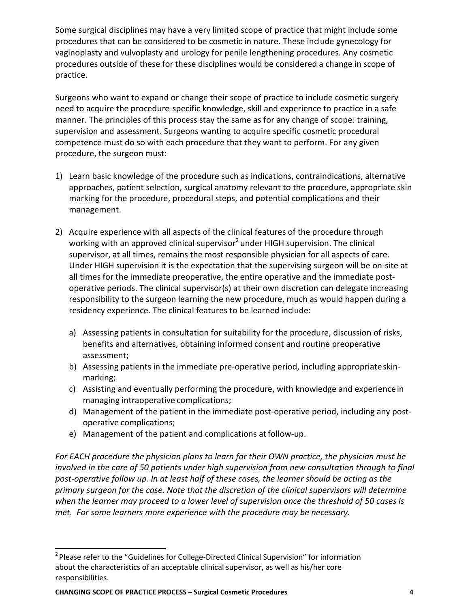Some surgical disciplines may have a very limited scope of practice that might include some procedures that can be considered to be cosmetic in nature. These include gynecology for vaginoplasty and vulvoplasty and urology for penile lengthening procedures. Any cosmetic procedures outside of these for these disciplines would be considered a change in scope of practice.

Surgeons who want to expand or change their scope of practice to include cosmetic surgery need to acquire the procedure‐specific knowledge, skill and experience to practice in a safe manner. The principles of this process stay the same as for any change of scope: training, supervision and assessment. Surgeons wanting to acquire specific cosmetic procedural competence must do so with each procedure that they want to perform. For any given procedure, the surgeon must:

- 1) Learn basic knowledge of the procedure such as indications, contraindications, alternative approaches, patient selection, surgical anatomy relevant to the procedure, appropriate skin marking for the procedure, procedural steps, and potential complications and their management.
- 2) Acquire experience with all aspects of the clinical features of the procedure through working with an approved clinical supervisor<sup>2</sup> under HIGH supervision. The clinical supervisor, at all times, remains the most responsible physician for all aspects of care. Under HIGH supervision it is the expectation that the supervising surgeon will be on‐site at all times for the immediate preoperative, the entire operative and the immediate post‐ operative periods. The clinical supervisor(s) at their own discretion can delegate increasing responsibility to the surgeon learning the new procedure, much as would happen during a residency experience. The clinical features to be learned include:
	- a) Assessing patients in consultation for suitability for the procedure, discussion of risks, benefits and alternatives, obtaining informed consent and routine preoperative assessment;
	- b) Assessing patients in the immediate pre-operative period, including appropriateskinmarking;
	- c) Assisting and eventually performing the procedure, with knowledge and experiencein managing intraoperative complications;
	- d) Management of the patient in the immediate post‐operative period, including any post‐ operative complications;
	- e) Management of the patient and complications at follow-up.

*For EACH procedure the physician plans to learn for their OWN practice, the physician must be involved in the care of 50 patients under high supervision from new consultation through to final post-operative follow up. In at least half of these cases, the learner should be acting as the primary surgeon for the case. Note that the discretion of the clinical supervisors will determine when the learner may proceed to a lower level of supervision once the threshold of 50 cases is met. For some learners more experience with the procedure may be necessary.*

<sup>&</sup>lt;sup>2</sup> Please refer to the "Guidelines for College-Directed Clinical Supervision" for information about the characteristics of an acceptable clinical supervisor, as well as his/her core responsibilities.

**CHANGING SCOPE OF PRACTICE PROCESS – Surgical Cosmetic Procedures 4**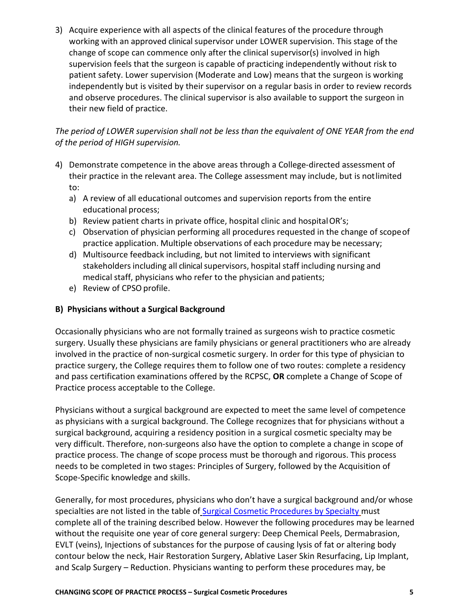3) Acquire experience with all aspects of the clinical features of the procedure through working with an approved clinical supervisor under LOWER supervision. This stage of the change of scope can commence only after the clinical supervisor(s) involved in high supervision feels that the surgeon is capable of practicing independently without risk to patient safety. Lower supervision (Moderate and Low) means that the surgeon is working independently but is visited by their supervisor on a regular basis in order to review records and observe procedures. The clinical supervisor is also available to support the surgeon in their new field of practice.

*The period of LOWER supervision shall not be less than the equivalent of ONE YEAR from the end of the period of HIGH supervision.*

- 4) Demonstrate competence in the above areas through a College-directed assessment of their practice in the relevant area. The College assessment may include, but is notlimited to:
	- a) A review of all educational outcomes and supervision reports from the entire educational process;
	- b) Review patient charts in private office, hospital clinic and hospitalOR's;
	- c) Observation of physician performing all procedures requested in the change of scopeof practice application. Multiple observations of each procedure may be necessary;
	- d) Multisource feedback including, but not limited to interviews with significant stakeholders including all clinical supervisors, hospital staff including nursing and medical staff, physicians who refer to the physician and patients;
	- e) Review of CPSO profile.

### **B) Physicians without a Surgical Background**

Occasionally physicians who are not formally trained as surgeons wish to practice cosmetic surgery. Usually these physicians are family physicians or general practitioners who are already involved in the practice of non-surgical cosmetic surgery. In order for this type of physician to practice surgery, the College requires them to follow one of two routes: complete a residency and pass certification examinations offered by the RCPSC, **OR** complete a Change of Scope of Practice process acceptable to the College.

Physicians without a surgical background are expected to meet the same level of competence as physicians with a surgical background. The College recognizes that for physicians without a surgical background, acquiring a residency position in a surgical cosmetic specialty may be very difficult. Therefore, non‐surgeons also have the option to complete a change in scope of practice process. The change of scope process must be thorough and rigorous. This process needs to be completed in two stages: Principles of Surgery, followed by the Acquisition of Scope‐Specific knowledge and skills.

Generally, for most procedures, physicians who don't have a surgical background and/or whose specialties are not listed in the table of [Surgical Cosmetic Procedures by Specialty](http://www.cpso.on.ca/uploadedFiles/policies/policies/policyitems/surgical-cosmetic-procedures-by-specialty_table.pdf) must complete all of the training described below. However the following procedures may be learned without the requisite one year of core general surgery: Deep Chemical Peels, Dermabrasion, EVLT (veins), Injections of substances for the purpose of causing lysis of fat or altering body contour below the neck, Hair Restoration Surgery, Ablative Laser Skin Resurfacing, Lip Implant, and Scalp Surgery – Reduction. Physicians wanting to perform these procedures may, be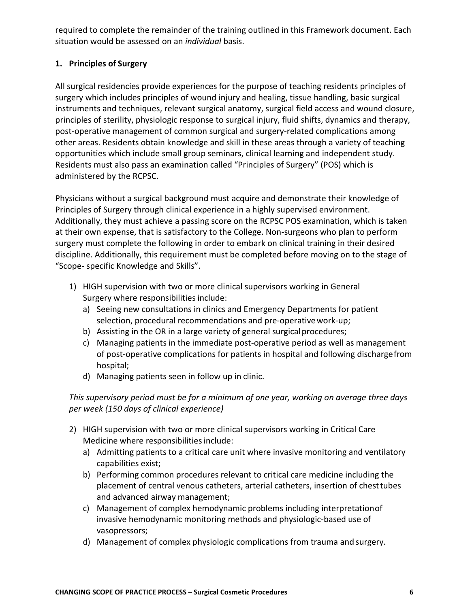required to complete the remainder of the training outlined in this Framework document. Each situation would be assessed on an *individual* basis.

# **1. Principles of Surgery**

All surgical residencies provide experiences for the purpose of teaching residents principles of surgery which includes principles of wound injury and healing, tissue handling, basic surgical instruments and techniques, relevant surgical anatomy, surgical field access and wound closure, principles of sterility, physiologic response to surgical injury, fluid shifts, dynamics and therapy, post-operative management of common surgical and surgery‐related complications among other areas. Residents obtain knowledge and skill in these areas through a variety of teaching opportunities which include small group seminars, clinical learning and independent study. Residents must also pass an examination called "Principles of Surgery" (POS) which is administered by the RCPSC.

Physicians without a surgical background must acquire and demonstrate their knowledge of Principles of Surgery through clinical experience in a highly supervised environment. Additionally, they must achieve a passing score on the RCPSC POS examination, which is taken at their own expense, that is satisfactory to the College. Non‐surgeons who plan to perform surgery must complete the following in order to embark on clinical training in their desired discipline. Additionally, this requirement must be completed before moving on to the stage of "Scope‐ specific Knowledge and Skills".

- 1) HIGH supervision with two or more clinical supervisors working in General Surgery where responsibilities include:
	- a) Seeing new consultations in clinics and Emergency Departments for patient selection, procedural recommendations and pre-operative work-up;
	- b) Assisting in the OR in a large variety of general surgical procedures;
	- c) Managing patients in the immediate post‐operative period as well as management of post-operative complications for patients in hospital and following dischargefrom hospital;
	- d) Managing patients seen in follow up in clinic.

*This supervisory period must be for a minimum of one year, working on average three days per week (150 days of clinical experience)*

- 2) HIGH supervision with two or more clinical supervisors working in Critical Care Medicine where responsibilities include:
	- a) Admitting patients to a critical care unit where invasive monitoring and ventilatory capabilities exist;
	- b) Performing common procedures relevant to critical care medicine including the placement of central venous catheters, arterial catheters, insertion of chesttubes and advanced airway management;
	- c) Management of complex hemodynamic problems including interpretationof invasive hemodynamic monitoring methods and physiologic‐based use of vasopressors;
	- d) Management of complex physiologic complications from trauma and surgery.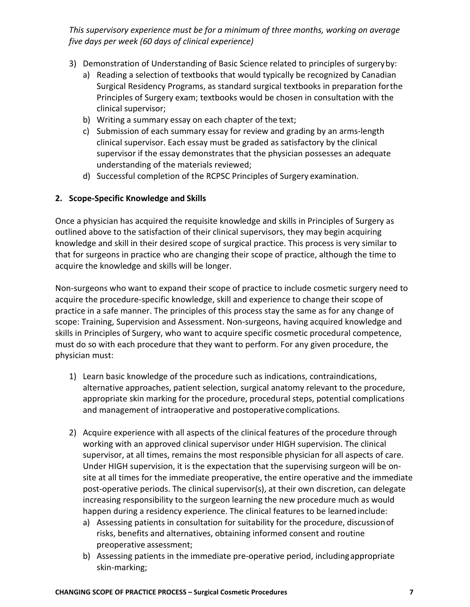*This supervisory experience must be for a minimum of three months, working on average five days per week (60 days of clinical experience)*

- 3) Demonstration of Understanding of Basic Science related to principles of surgeryby:
	- a) Reading a selection of textbooks that would typically be recognized by Canadian Surgical Residency Programs, as standard surgical textbooks in preparation forthe Principles of Surgery exam; textbooks would be chosen in consultation with the clinical supervisor;
	- b) Writing a summary essay on each chapter of the text;
	- c) Submission of each summary essay for review and grading by an arms‐length clinical supervisor. Each essay must be graded as satisfactory by the clinical supervisor if the essay demonstrates that the physician possesses an adequate understanding of the materials reviewed;
	- d) Successful completion of the RCPSC Principles of Surgery examination.

#### **2. Scope‐Specific Knowledge and Skills**

Once a physician has acquired the requisite knowledge and skills in Principles of Surgery as outlined above to the satisfaction of their clinical supervisors, they may begin acquiring knowledge and skill in their desired scope of surgical practice. This process is very similar to that for surgeons in practice who are changing their scope of practice, although the time to acquire the knowledge and skills will be longer.

Non‐surgeons who want to expand their scope of practice to include cosmetic surgery need to acquire the procedure‐specific knowledge, skill and experience to change their scope of practice in a safe manner. The principles of this process stay the same as for any change of scope: Training, Supervision and Assessment. Non‐surgeons, having acquired knowledge and skills in Principles of Surgery, who want to acquire specific cosmetic procedural competence, must do so with each procedure that they want to perform. For any given procedure, the physician must:

- 1) Learn basic knowledge of the procedure such as indications, contraindications, alternative approaches, patient selection, surgical anatomy relevant to the procedure, appropriate skin marking for the procedure, procedural steps, potential complications and management of intraoperative and postoperativecomplications.
- 2) Acquire experience with all aspects of the clinical features of the procedure through working with an approved clinical supervisor under HIGH supervision. The clinical supervisor, at all times, remains the most responsible physician for all aspects of care. Under HIGH supervision, it is the expectation that the supervising surgeon will be on‐ site at all times for the immediate preoperative, the entire operative and the immediate post-operative periods. The clinical supervisor(s), at their own discretion, can delegate increasing responsibility to the surgeon learning the new procedure much as would happen during a residency experience. The clinical features to be learned include:
	- a) Assessing patients in consultation for suitability for the procedure, discussionof risks, benefits and alternatives, obtaining informed consent and routine preoperative assessment;
	- b) Assessing patients in the immediate pre‐operative period, includingappropriate skin‐marking;